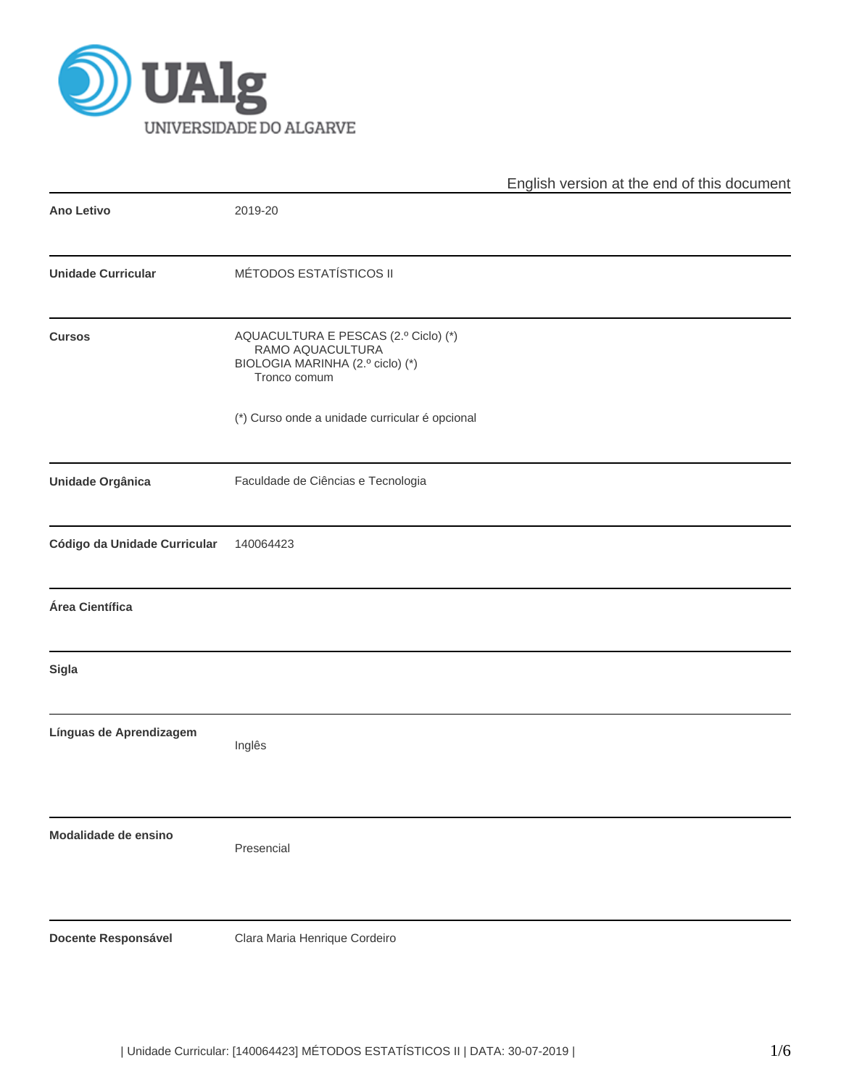

|                              |                                                                                                              | English version at the end of this document |
|------------------------------|--------------------------------------------------------------------------------------------------------------|---------------------------------------------|
| <b>Ano Letivo</b>            | 2019-20                                                                                                      |                                             |
| <b>Unidade Curricular</b>    | MÉTODOS ESTATÍSTICOS II                                                                                      |                                             |
| <b>Cursos</b>                | AQUACULTURA E PESCAS (2.º Ciclo) (*)<br>RAMO AQUACULTURA<br>BIOLOGIA MARINHA (2.º ciclo) (*)<br>Tronco comum |                                             |
|                              | (*) Curso onde a unidade curricular é opcional                                                               |                                             |
| Unidade Orgânica             | Faculdade de Ciências e Tecnologia                                                                           |                                             |
| Código da Unidade Curricular | 140064423                                                                                                    |                                             |
| Área Científica              |                                                                                                              |                                             |
| <b>Sigla</b>                 |                                                                                                              |                                             |
| Línguas de Aprendizagem      | Inglês                                                                                                       |                                             |
| Modalidade de ensino         | Presencial                                                                                                   |                                             |
| <b>Docente Responsável</b>   | Clara Maria Henrique Cordeiro                                                                                |                                             |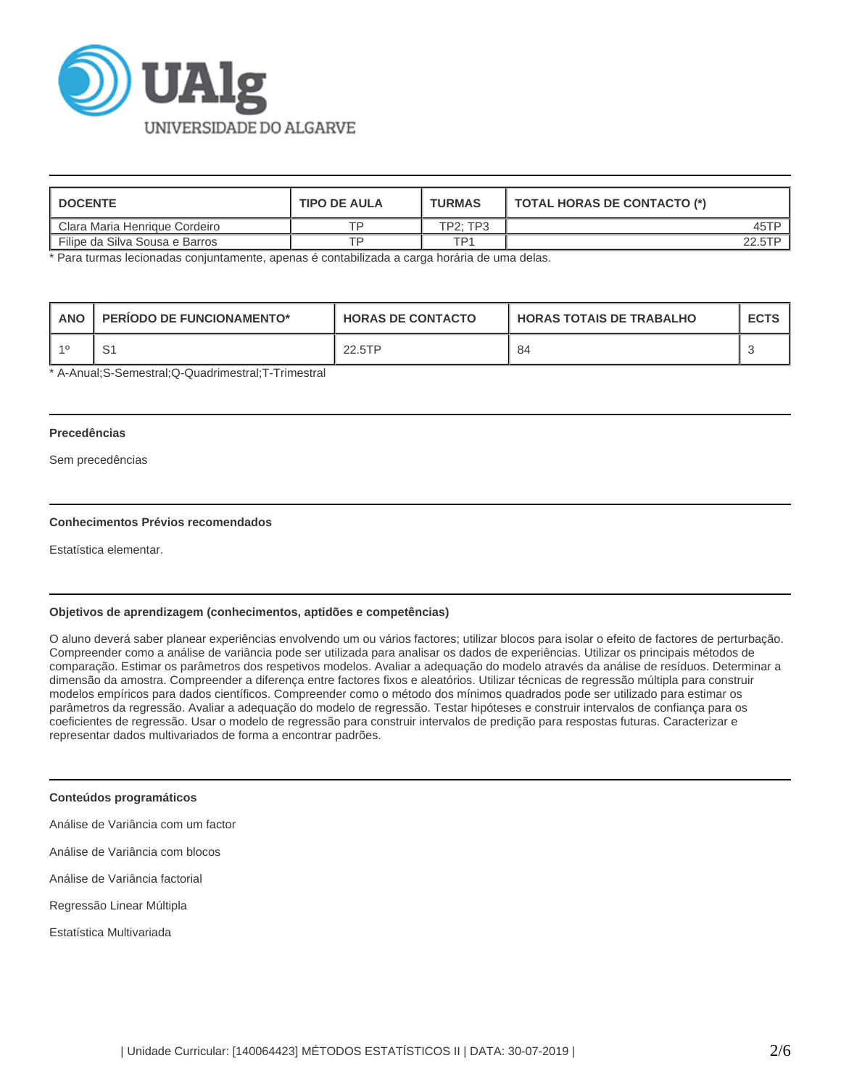

| <b>I DOCENTE</b>               | <b>TIPO DE AULA</b> | <b>TURMAS</b>   | TOTAL HORAS DE CONTACTO (*) |
|--------------------------------|---------------------|-----------------|-----------------------------|
| Clara Maria Henrique Cordeiro  |                     | <b>TP2: TP3</b> | 45TP                        |
| Filipe da Silva Sousa e Barros | тn                  | TP1             |                             |

\* Para turmas lecionadas conjuntamente, apenas é contabilizada a carga horária de uma delas.

| <b>ANO</b> | <b>PERIODO DE FUNCIONAMENTO*</b> | <b>HORAS DE CONTACTO</b> | <b>HORAS TOTAIS DE TRABALHO</b> | <b>ECTS</b> |
|------------|----------------------------------|--------------------------|---------------------------------|-------------|
|            |                                  | 22.5TP                   | 84                              |             |

\* A-Anual;S-Semestral;Q-Quadrimestral;T-Trimestral

# **Precedências**

Sem precedências

# **Conhecimentos Prévios recomendados**

Estatística elementar.

# **Objetivos de aprendizagem (conhecimentos, aptidões e competências)**

O aluno deverá saber planear experiências envolvendo um ou vários factores; utilizar blocos para isolar o efeito de factores de perturbação. Compreender como a análise de variância pode ser utilizada para analisar os dados de experiências. Utilizar os principais métodos de comparação. Estimar os parâmetros dos respetivos modelos. Avaliar a adequação do modelo através da análise de resíduos. Determinar a dimensão da amostra. Compreender a diferença entre factores fixos e aleatórios. Utilizar técnicas de regressão múltipla para construir modelos empíricos para dados científicos. Compreender como o método dos mínimos quadrados pode ser utilizado para estimar os parâmetros da regressão. Avaliar a adequação do modelo de regressão. Testar hipóteses e construir intervalos de confiança para os coeficientes de regressão. Usar o modelo de regressão para construir intervalos de predição para respostas futuras. Caracterizar e representar dados multivariados de forma a encontrar padrões.

#### **Conteúdos programáticos**

Análise de Variância com um factor

Análise de Variância com blocos

Análise de Variância factorial

Regressão Linear Múltipla

Estatística Multivariada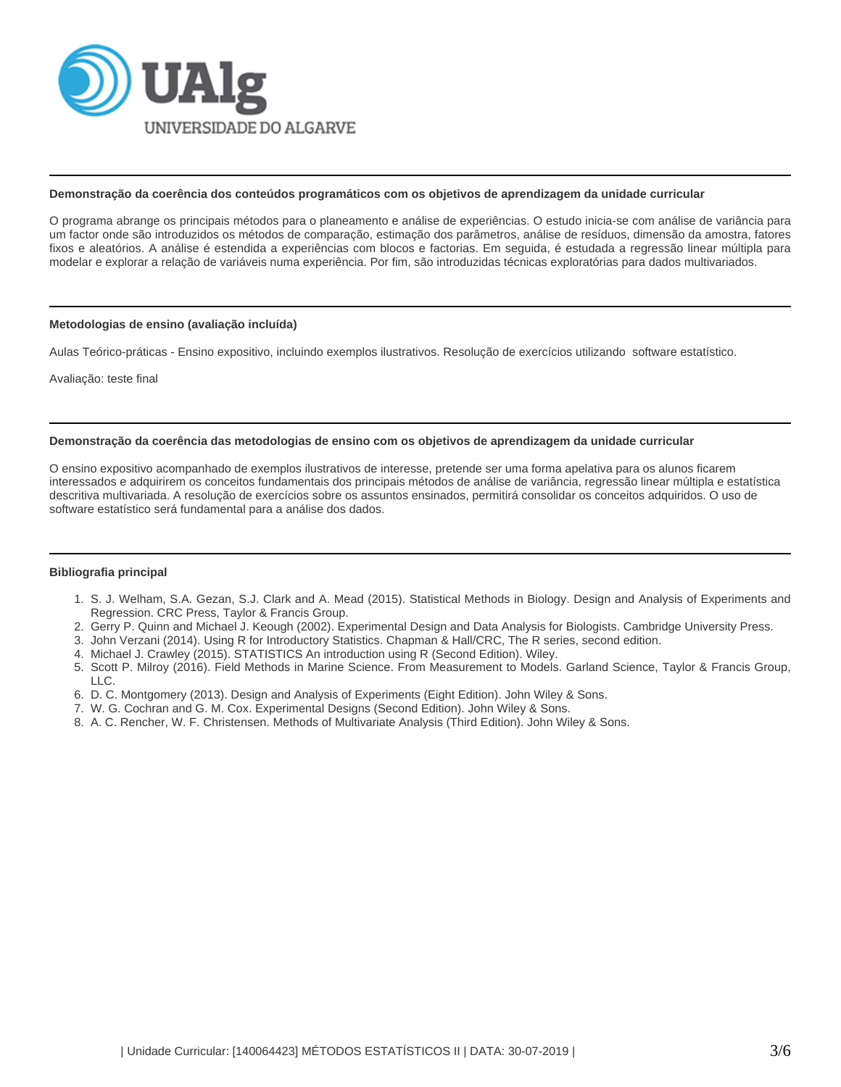

## **Demonstração da coerência dos conteúdos programáticos com os objetivos de aprendizagem da unidade curricular**

O programa abrange os principais métodos para o planeamento e análise de experiências. O estudo inicia-se com análise de variância para um factor onde são introduzidos os métodos de comparação, estimação dos parâmetros, análise de resíduos, dimensão da amostra, fatores fixos e aleatórios. A análise é estendida a experiências com blocos e factorias. Em seguida, é estudada a regressão linear múltipla para modelar e explorar a relação de variáveis numa experiência. Por fim, são introduzidas técnicas exploratórias para dados multivariados.

#### **Metodologias de ensino (avaliação incluída)**

Aulas Teórico-práticas - Ensino expositivo, incluindo exemplos ilustrativos. Resolução de exercícios utilizando software estatístico.

Avaliação: teste final

### **Demonstração da coerência das metodologias de ensino com os objetivos de aprendizagem da unidade curricular**

O ensino expositivo acompanhado de exemplos ilustrativos de interesse, pretende ser uma forma apelativa para os alunos ficarem interessados e adquirirem os conceitos fundamentais dos principais métodos de análise de variância, regressão linear múltipla e estatística descritiva multivariada. A resolução de exercícios sobre os assuntos ensinados, permitirá consolidar os conceitos adquiridos. O uso de software estatístico será fundamental para a análise dos dados.

# **Bibliografia principal**

- 1. S. J. Welham, S.A. Gezan, S.J. Clark and A. Mead (2015). Statistical Methods in Biology. Design and Analysis of Experiments and Regression. CRC Press, Taylor & Francis Group.
- 2. Gerry P. Quinn and Michael J. Keough (2002). Experimental Design and Data Analysis for Biologists. Cambridge University Press.
- 3. John Verzani (2014). Using R for Introductory Statistics. Chapman & Hall/CRC, The R series, second edition.
- 4. Michael J. Crawley (2015). STATISTICS An introduction using R (Second Edition). Wiley.
- 5. Scott P. Milroy (2016). Field Methods in Marine Science. From Measurement to Models. Garland Science, Taylor & Francis Group, LLC.
- 6. D. C. Montgomery (2013). Design and Analysis of Experiments (Eight Edition). John Wiley & Sons.
- 7. W. G. Cochran and G. M. Cox. Experimental Designs (Second Edition). John Wiley & Sons.
- 8. A. C. Rencher, W. F. Christensen. Methods of Multivariate Analysis (Third Edition). John Wiley & Sons.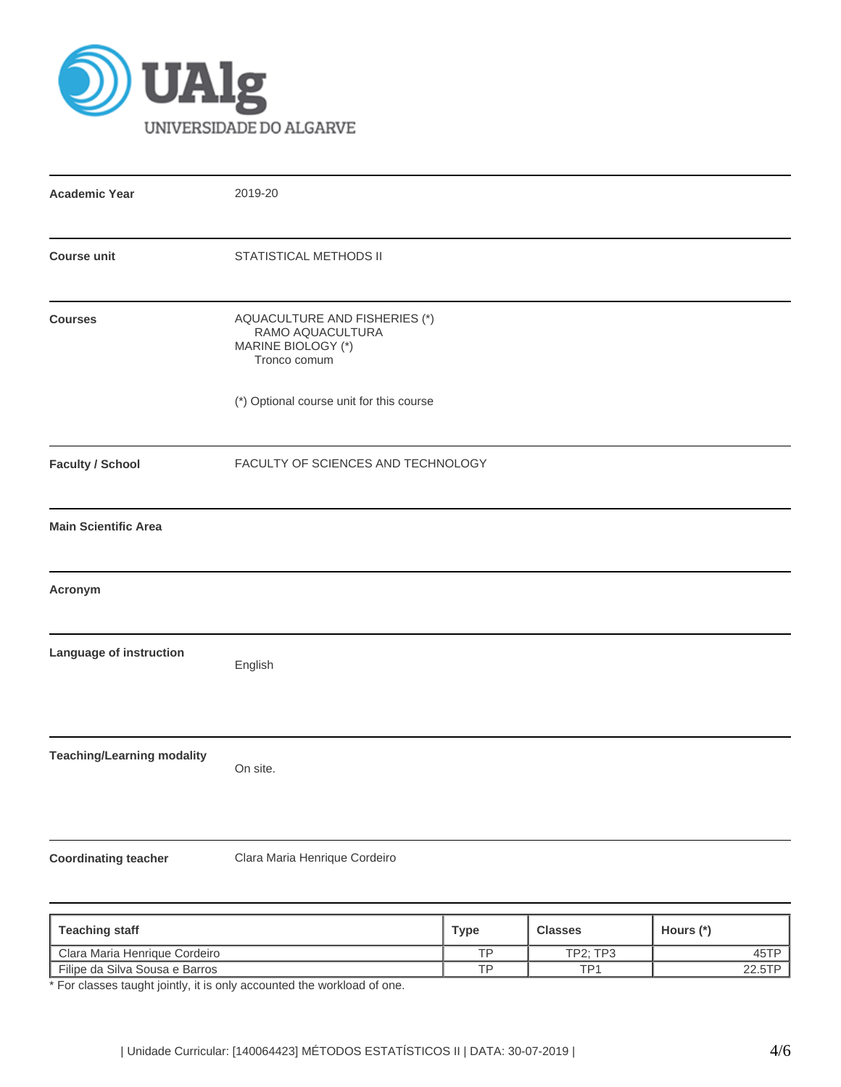

| <b>Academic Year</b>                                          | 2019-20                                                                                 |  |  |  |  |
|---------------------------------------------------------------|-----------------------------------------------------------------------------------------|--|--|--|--|
| <b>Course unit</b>                                            | STATISTICAL METHODS II                                                                  |  |  |  |  |
| <b>Courses</b>                                                | AQUACULTURE AND FISHERIES (*)<br>RAMO AQUACULTURA<br>MARINE BIOLOGY (*)<br>Tronco comum |  |  |  |  |
|                                                               | (*) Optional course unit for this course                                                |  |  |  |  |
| <b>Faculty / School</b><br>FACULTY OF SCIENCES AND TECHNOLOGY |                                                                                         |  |  |  |  |
| <b>Main Scientific Area</b>                                   |                                                                                         |  |  |  |  |
| Acronym                                                       |                                                                                         |  |  |  |  |
| Language of instruction                                       | English                                                                                 |  |  |  |  |
| <b>Teaching/Learning modality</b>                             | On site.                                                                                |  |  |  |  |
| <b>Coordinating teacher</b>                                   | Clara Maria Henrique Cordeiro                                                           |  |  |  |  |

| <b>Teaching staff</b>          | Type | <b>Classes</b>  | Hours (*) |  |
|--------------------------------|------|-----------------|-----------|--|
| Clara Maria Henrique Cordeiro  | TP   | <b>TP2: TP3</b> | 45TP      |  |
| Filipe da Silva Sousa e Barros | TP   | TP <sub>1</sub> | 22.5TP    |  |

\* For classes taught jointly, it is only accounted the workload of one.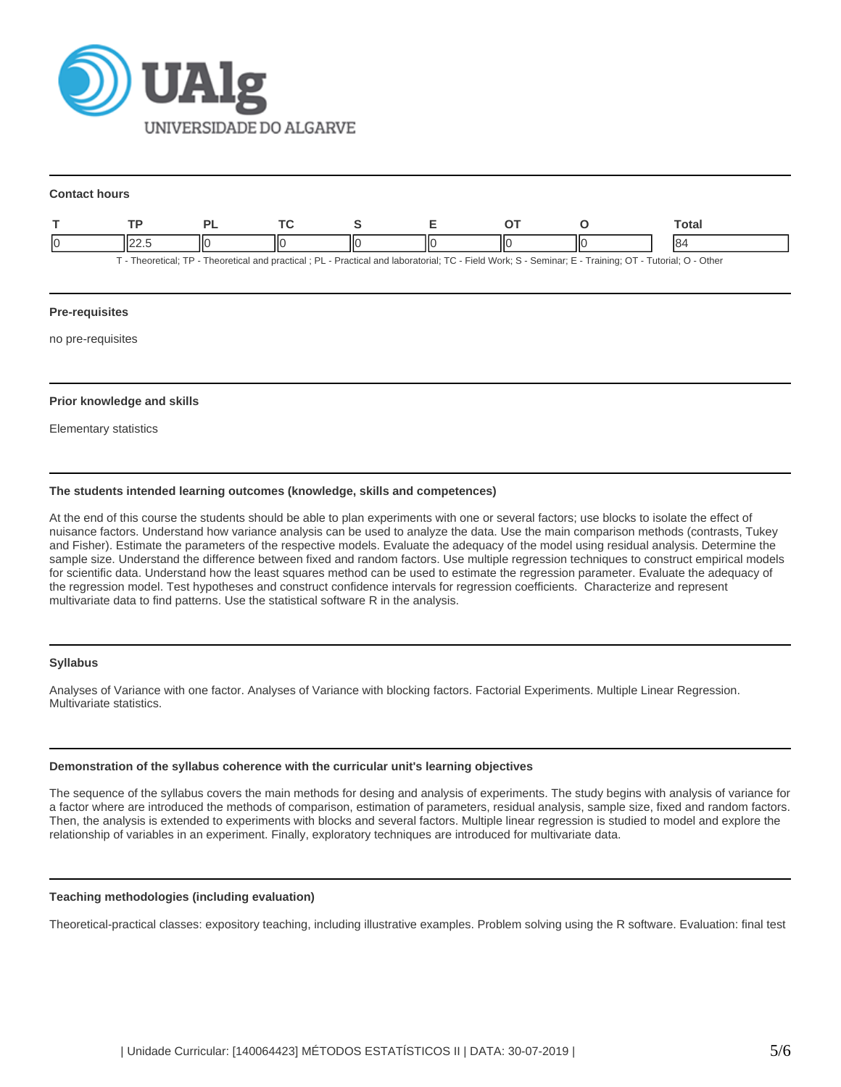

#### **Contact hours**

|                                                                                                                                                       |  |  |  |  |   |  | Total |
|-------------------------------------------------------------------------------------------------------------------------------------------------------|--|--|--|--|---|--|-------|
|                                                                                                                                                       |  |  |  |  | Ш |  | 18.   |
| - Theoretical: TP - Theoretical and practical : PL - Practical and laboratorial: TC - Field Work: S - Seminar: E - Training: OT - Tutorial: O - Other |  |  |  |  |   |  |       |

# **Pre-requisites**

no pre-requisites

### **Prior knowledge and skills**

Elementary statistics

# **The students intended learning outcomes (knowledge, skills and competences)**

At the end of this course the students should be able to plan experiments with one or several factors; use blocks to isolate the effect of nuisance factors. Understand how variance analysis can be used to analyze the data. Use the main comparison methods (contrasts, Tukey and Fisher). Estimate the parameters of the respective models. Evaluate the adequacy of the model using residual analysis. Determine the sample size. Understand the difference between fixed and random factors. Use multiple regression techniques to construct empirical models for scientific data. Understand how the least squares method can be used to estimate the regression parameter. Evaluate the adequacy of the regression model. Test hypotheses and construct confidence intervals for regression coefficients. Characterize and represent multivariate data to find patterns. Use the statistical software R in the analysis.

## **Syllabus**

Analyses of Variance with one factor. Analyses of Variance with blocking factors. Factorial Experiments. Multiple Linear Regression. Multivariate statistics.

#### **Demonstration of the syllabus coherence with the curricular unit's learning objectives**

The sequence of the syllabus covers the main methods for desing and analysis of experiments. The study begins with analysis of variance for a factor where are introduced the methods of comparison, estimation of parameters, residual analysis, sample size, fixed and random factors. Then, the analysis is extended to experiments with blocks and several factors. Multiple linear regression is studied to model and explore the relationship of variables in an experiment. Finally, exploratory techniques are introduced for multivariate data.

## **Teaching methodologies (including evaluation)**

Theoretical-practical classes: expository teaching, including illustrative examples. Problem solving using the R software. Evaluation: final test